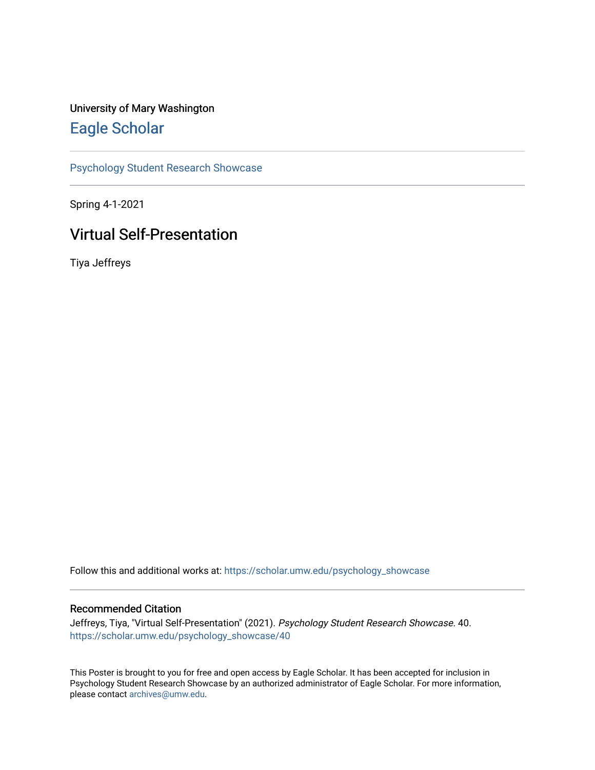#### University of Mary Washington [Eagle Scholar](https://scholar.umw.edu/)

[Psychology Student Research Showcase](https://scholar.umw.edu/psychology_showcase)

Spring 4-1-2021

#### Virtual Self-Presentation

Tiya Jeffreys

Follow this and additional works at: [https://scholar.umw.edu/psychology\\_showcase](https://scholar.umw.edu/psychology_showcase?utm_source=scholar.umw.edu%2Fpsychology_showcase%2F40&utm_medium=PDF&utm_campaign=PDFCoverPages)

#### Recommended Citation

Jeffreys, Tiya, "Virtual Self-Presentation" (2021). Psychology Student Research Showcase. 40. [https://scholar.umw.edu/psychology\\_showcase/40](https://scholar.umw.edu/psychology_showcase/40?utm_source=scholar.umw.edu%2Fpsychology_showcase%2F40&utm_medium=PDF&utm_campaign=PDFCoverPages) 

This Poster is brought to you for free and open access by Eagle Scholar. It has been accepted for inclusion in Psychology Student Research Showcase by an authorized administrator of Eagle Scholar. For more information, please contact [archives@umw.edu.](mailto:archives@umw.edu)